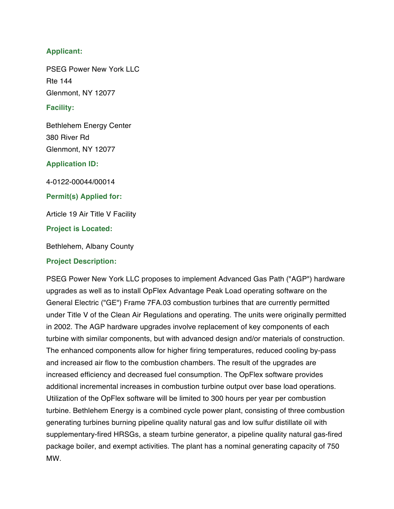## **Applicant:**

PSEG Power New York LLC Rte 144 Glenmont, NY 12077

#### **Facility:**

Bethlehem Energy Center 380 River Rd Glenmont, NY 12077

#### **Application ID:**

4-0122-00044/00014

**Permit(s) Applied for:**

Article 19 Air Title V Facility

#### **Project is Located:**

Bethlehem, Albany County

#### **Project Description:**

PSEG Power New York LLC proposes to implement Advanced Gas Path ("AGP") hardware upgrades as well as to install OpFlex Advantage Peak Load operating software on the General Electric ("GE") Frame 7FA.03 combustion turbines that are currently permitted under Title V of the Clean Air Regulations and operating. The units were originally permitted in 2002. The AGP hardware upgrades involve replacement of key components of each turbine with similar components, but with advanced design and/or materials of construction. The enhanced components allow for higher firing temperatures, reduced cooling by-pass and increased air flow to the combustion chambers. The result of the upgrades are increased efficiency and decreased fuel consumption. The OpFlex software provides additional incremental increases in combustion turbine output over base load operations. Utilization of the OpFlex software will be limited to 300 hours per year per combustion turbine. Bethlehem Energy is a combined cycle power plant, consisting of three combustion generating turbines burning pipeline quality natural gas and low sulfur distillate oil with supplementary-fired HRSGs, a steam turbine generator, a pipeline quality natural gas-fired package boiler, and exempt activities. The plant has a nominal generating capacity of 750 MW.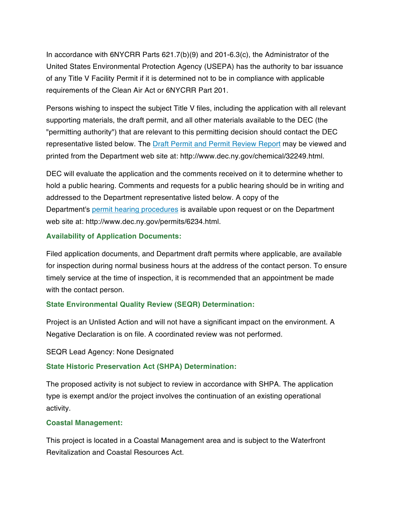In accordance with 6NYCRR Parts 621.7(b)(9) and 201-6.3(c), the Administrator of the United States Environmental Protection Agency (USEPA) has the authority to bar issuance of any Title V Facility Permit if it is determined not to be in compliance with applicable requirements of the Clean Air Act or 6NYCRR Part 201.

Persons wishing to inspect the subject Title V files, including the application with all relevant supporting materials, the draft permit, and all other materials available to the DEC (the "permitting authority") that are relevant to this permitting decision should contact the DEC representative listed below. The Draft Permit and Permit Review Report may be viewed and printed from the Department web site at: http://www.dec.ny.gov/chemical/32249.html.

DEC will evaluate the application and the comments received on it to determine whether to hold a public hearing. Comments and requests for a public hearing should be in writing and addressed to the Department representative listed below. A copy of the Department's permit hearing procedures is available upon request or on the Department web site at: http://www.dec.ny.gov/permits/6234.html.

## **Availability of Application Documents:**

Filed application documents, and Department draft permits where applicable, are available for inspection during normal business hours at the address of the contact person. To ensure timely service at the time of inspection, it is recommended that an appointment be made with the contact person.

## **State Environmental Quality Review (SEQR) Determination:**

Project is an Unlisted Action and will not have a significant impact on the environment. A Negative Declaration is on file. A coordinated review was not performed.

## SEQR Lead Agency: None Designated

## **State Historic Preservation Act (SHPA) Determination:**

The proposed activity is not subject to review in accordance with SHPA. The application type is exempt and/or the project involves the continuation of an existing operational activity.

## **Coastal Management:**

This project is located in a Coastal Management area and is subject to the Waterfront Revitalization and Coastal Resources Act.